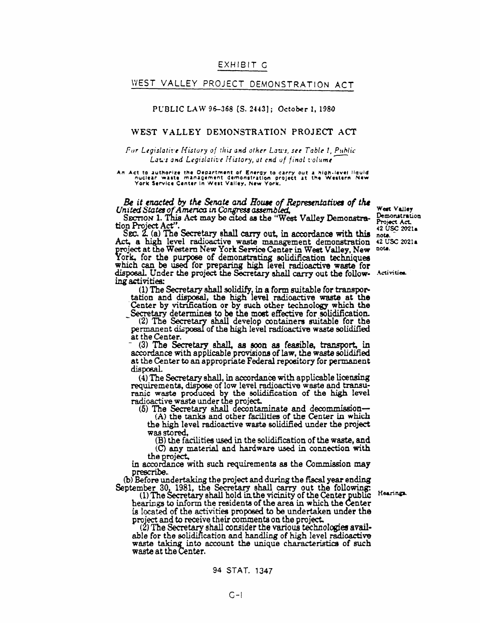### EXHIBIT G

## WEST VALLEY PROJECT DEMONSTRATION ACT

#### PUBLIC LAW 96-368 [S. 2443]; October 1, 1980

#### WEST VALLEY DEMONSTRATION PROJECT ACT

#### For Legislative History of this and other Laws, see Table 1, Public Laws and Legislative History, at end of final volume

# An Act to authorize the Department of Energy to carry out a high-level liquid<br>nuclear waste management demonstration project at the Western New<br>York Service Center in West Valley, New York.

#### Be it enacted by the Senate and House of Representatives of the United States of America in Congress assembled,

SECTION 1. This Act may be cited as the "West Valley Demonstration Project Act"

SEC. 2. (a) The Secretary shall carry out, in accordance with this note.<br>Act, a high level radioactive waste management demonstration 42 USC 2021a project at the Western New York Service Center in West Valley, New note.<br>York, for the purpose of demonstrating solidification techniques which can be used for preparing high level radioactive waste for disposal. Under the project the Secretary shall carry out the follow- Activities. ing activities:

(1) The Secretary shall solidify, in a form suitable for transportation and disposal, the high level radioactive waste at the Center by vitrification or by such other technology which the Secretary determines to be the most effective for solidification.

(2) The Secretary shall develop containers suitable for the permanent disposal of the high level radioactive waste solidified at the Center.

(3) The Secretary shall, as soon as feasible, transport, in accordance with applicable provisions of law, the waste solidified at the Center to an appropriate Federal repository for permanent disposal.

(4) The Secretary shall, in accordance with applicable licensing requirements, dispose of low level radioactive waste and transuranic waste produced by the solidification of the high level radioactive waste under the project.

(5) The Secretary shall decontaminate and decommission-

 $(A)$  the tanks and other facilities of the Center in which the high level radioactive waste solidified under the project was stored,

(B) the facilities used in the solidification of the waste, and (C) any material and hardware used in connection with the project,

in accordance with such requirements as the Commission may prescribe.

(b) Before undertaking the project and during the fiscal year ending Hearings.

September 30, 1981, the Secretary shall carry out the following:<br>(1) The Secretary shall hold in the vicinity of the Center public hearings to inform the residents of the area in which the Center is located of the activities proposed to be undertaken under the project and to receive their comments on the project.

(2) The Secretary shall consider the various technologies available for the solidification and handling of high level radioactive waste taking into account the unique characteristics of such waste at the Center.

Project Act. 42 USC 2021a

West Valley

Demonstration

94 STAT. 1347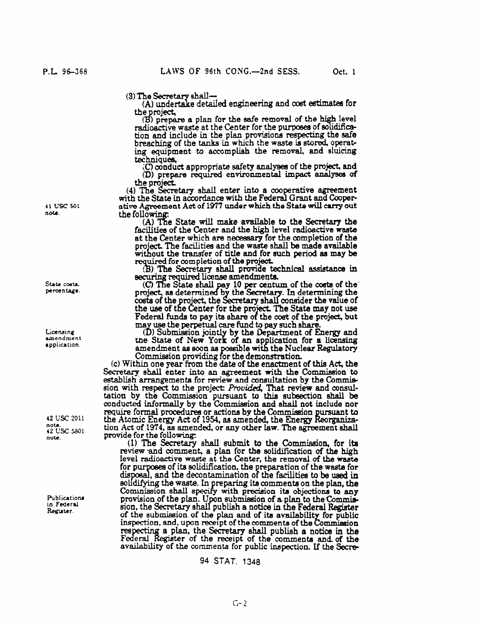(3) The Secretary shall

(A) undertake detailed engineering and cost estimates for the project,

(B) prepare a plan for the safe removal of the high level radioactive waste at the Center for the purposes of solidific tion and include in the plan provisions respecting the safe breaching of the tanks in which the waste is stored, operating equipment to accomplish the removal, and sluicing techniques,<br>(C) conduct appropriate safety analyses of the project, and

(D) prepare required environmental impact analyses of the project.

(4) The Secretary shall enter into a cooperative agreement with the State in accordance with the Federal Grant and Coope ative Agreement Act of 1977 under which the State will carry out the following:<br>(A) The State will make available to the Secretary the

facilities of the Center and the high level radioactive waste at the Center which are necessary for the completion of the project. The facilities and the waste shall be made available without the transfer of title and for such period as may be for completion of the project.

Secretary shall provide technical assistance in securing required license amendments.<br>(C) The State shall pay 10 per centum of the costs of the

project, as determined by the Secretary. In determining the costs of the project, the Secretary shall consider the value of the use of the Center for the project. The State may not use Federal funds to pay its share of the cost of the project, but may use the perpetual care fund to pay such share

(D) Submission jointly by the Department of Energy and the State of New York of an application for a licensing<br>amendment as soon as possible with the Nuclear Regulatory<br>Commission providing for the demonstration.

(c) Within one year from the date of the enactment of this Act, the Secretary shall enter into an agreement with the Commission to establish arrangements for review and consultation by the Commission with respect to the project: Provided, That review and consultation by the Commission pursuant to this subsection shall be conducted informally by the Commission and shall not include nor require formal procedures or actions by the Commission pursuant to the Atomic Energy Act of 1954, as amended, the Energy Reorganization Act of 1974, as amended, or any other law. The agreement shall provide for the following:

(1) The Secretary shall submit to the Commission, for its review and comment, a plan for the solidification of the high level radioactive waste at the Center, the removal of the waste for purposes of its solidification, the preparation of the waste for disposal, and the decontamination of the facilities to be used in solidifying the waste. In preparing its comments on the plan, the Commission shall specify with precision its objections to any provision of the plan. Upon submission of a plan to the Commission, the Secretary shall publish a notice in the Federal Register of the submission of the plan and of its availability for public inspection, and, upon receipt of the comments of the Commission respecting a plan, the Secretary shall publish a notice in the Federal Register of the receipt of the comments and of the availability of the comments for public inspection. If the Secre-

#### 94 STAT. 1348

41 USC 501 nou.

State costs. percentage.

Licensing amendment application.

42 USC 2011 note.<br>42 USC 5801 note.

Publications in Federal Register.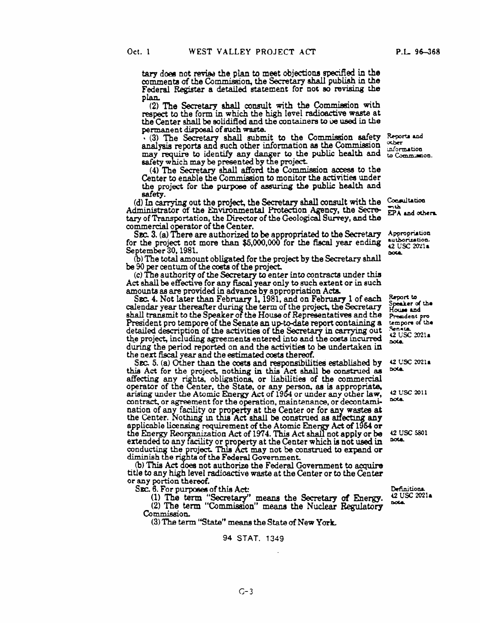tary does not revise the plan to meet objections specified in the comments of the Commission, the Secretary shall publish in the Federal Register a detailed statement for not so revising the plan.

(2) The Secretary shall consult with the Commission with respect to the form in which the high level radioactive waste at the Center shall be solidified and the containers to be used in the permanent disposal of such waste.

(3) The Secretary shall submit to the Commission safety Reports and analysis reports and such other information as the Commission may require to identify any danger to the public health and to Communion. safety which may be presented by the project.

(4) The Secretary shall afford the Commission access to the Center to enable the Commission to monitor the activities under the project for the purpose of assuring the public health and safety.

(d) In carrying out the project, the Secretary shall consult with the Consultation Administrator of the Environmental Protection Agency, the Secretary of Transportation, the Director of the Geological Survey, and the commercial operator of the Center.

SEC. 3. (a) There are authorized to be appropriated to the Secretary for the project not more than  $$5,000,000$  for the fiscal year ending September 30, 1981.

(b) The total amount obligated for the project by the Secretary shall be 90 per centum of the costs of the project.

(c) The authority of the Secretary to enter into contracts under this Act shall be effective for any fiscal year only to such extent or in such amounts as are provided in advance by appropriation Acts.

SEC. 4. Not later than February 1, 1981, and on February 1 of each calendar year thereafter during the term of the project, the Secretary shall transmit to the Speaker of the House of Representatives and the President pro tempore of the Senate an up-to-date report containing a detailed description of the activities of the Secretary in carrying out the project, including agreements entered into and the costs incurred during the period reported on and the activities to be undertaken in the next fiscal year and the estimated costs thereof.

SEC. 5. (a) Other than the costs and responsibilities established by this Act for the project, nothing in this Act shall be construed as affecting any rights, obligations, or liabilities of the commercial operator of the Center, the State, or any person, as is appropriate, arising under the Atomic Energy Act of 1954 or under any other law, contract, or agreement for the operation, maintenance, or decontamination of any facility or property at the Center or for any wastes at the Center. Nothing in this Act shall be construed as affecting any applicable licensing requirement of the Atomic Energy Act of 1954 or the Energy Reorganization Act of 1974. This Act shall not apply or be extended to any facility or property at the Center which is not used in conducting the project. This Act may not be construed to expand or diminish the rights of the Federal Government.

(b) This Act does not authorize the Federal Government to acquire title to any high level radioactive waste at the Center or to the Center or any portion thereof.

SEC. 6. For purposes of this Act:

(1) The term "Secretary" means the Secretary of Energy.<br>(2) The term "Commission" means the Nuclear Regulatory Commission

(3) The term "State" means the State of New York.

#### 94 STAT. 1349

Definitions. 42 USC 2021a **DOLA** 

 $\alpha$ ber information

 $EPA$  and others.

Appropriation authorization. 42 USC 2021a **DOLA** 

Report to Speaker of the<br>House and President pri tempore of the **Senata** 42 USC 2021a **DOLA** 

42 USC 2021a nota.

42 USC 2011 nota.

42 USC 5801 nota.

P.L. 96-368